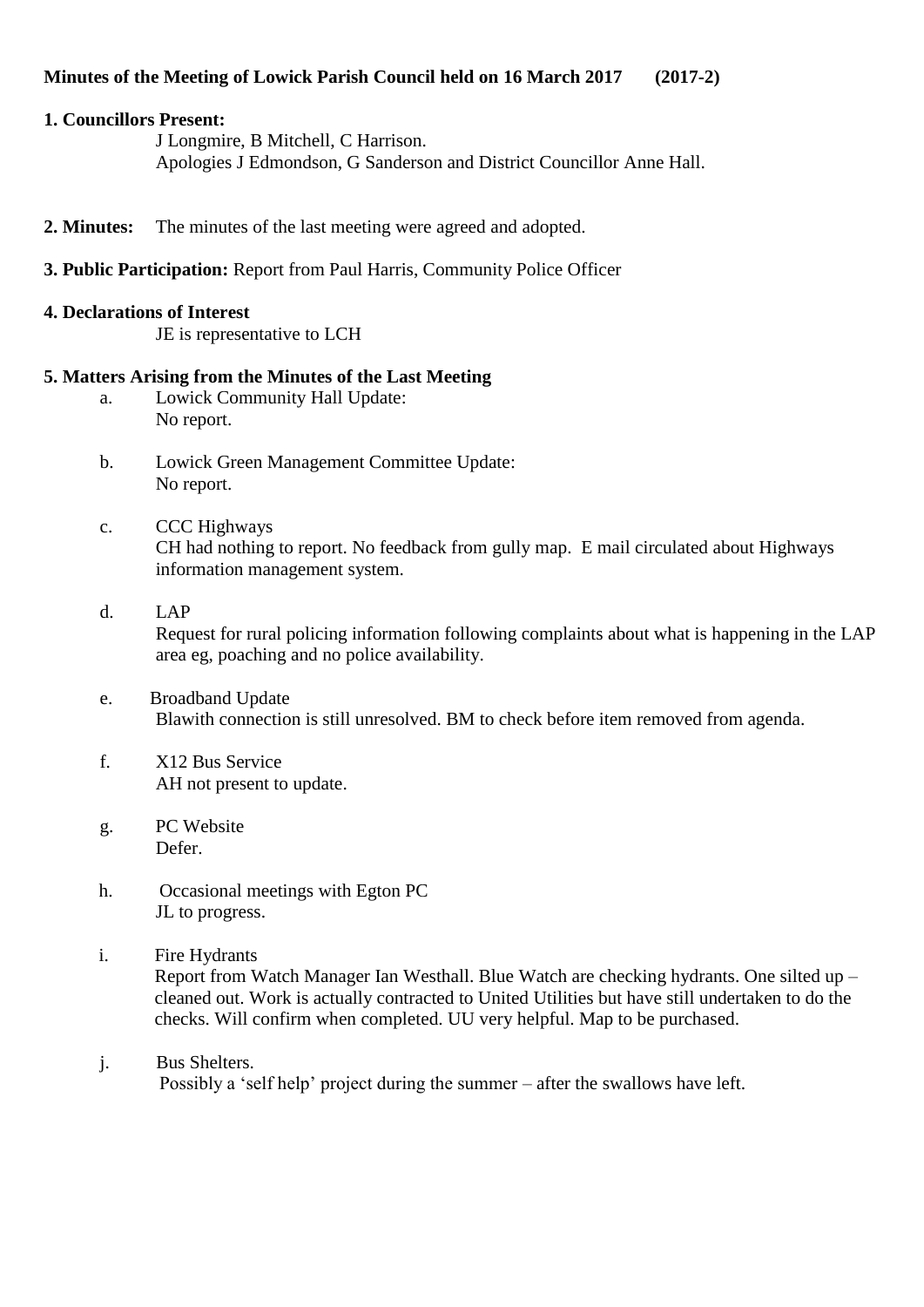## **1. Councillors Present:**

J Longmire, B Mitchell, C Harrison. Apologies J Edmondson, G Sanderson and District Councillor Anne Hall.

- **2. Minutes:** The minutes of the last meeting were agreed and adopted.
- **3. Public Participation:** Report from Paul Harris, Community Police Officer

## **4. Declarations of Interest**

JE is representative to LCH

# **5. Matters Arising from the Minutes of the Last Meeting**

- a. Lowick Community Hall Update: No report.
- b. Lowick Green Management Committee Update: No report.
- c. CCC Highways CH had nothing to report. No feedback from gully map. E mail circulated about Highways information management system.
- d. LAP Request for rural policing information following complaints about what is happening in the LAP area eg, poaching and no police availability.
- e. Broadband Update Blawith connection is still unresolved. BM to check before item removed from agenda.
- f. X12 Bus Service AH not present to update.
- g. PC Website Defer.
- h. Occasional meetings with Egton PC JL to progress.
- i. Fire Hydrants Report from Watch Manager Ian Westhall. Blue Watch are checking hydrants. One silted up – cleaned out. Work is actually contracted to United Utilities but have still undertaken to do the checks. Will confirm when completed. UU very helpful. Map to be purchased.
- j. Bus Shelters. Possibly a 'self help' project during the summer – after the swallows have left.